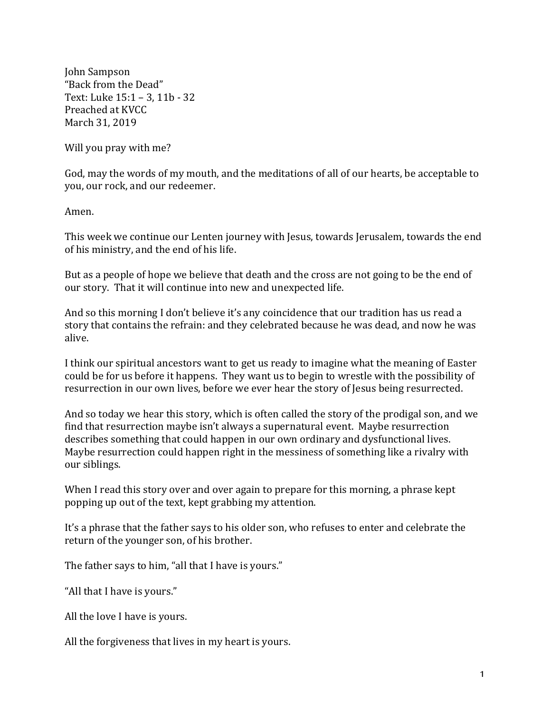John Sampson "Back from the Dead" Text: Luke  $15:1 - 3$ ,  $11b - 32$ Preached at KVCC March 31, 2019

Will you pray with me?

God, may the words of my mouth, and the meditations of all of our hearts, be acceptable to you, our rock, and our redeemer.

Amen.

This week we continue our Lenten journey with Jesus, towards Jerusalem, towards the end of his ministry, and the end of his life.

But as a people of hope we believe that death and the cross are not going to be the end of our story. That it will continue into new and unexpected life.

And so this morning I don't believe it's any coincidence that our tradition has us read a story that contains the refrain: and they celebrated because he was dead, and now he was alive.

I think our spiritual ancestors want to get us ready to imagine what the meaning of Easter could be for us before it happens. They want us to begin to wrestle with the possibility of resurrection in our own lives, before we ever hear the story of Jesus being resurrected.

And so today we hear this story, which is often called the story of the prodigal son, and we find that resurrection maybe isn't always a supernatural event. Maybe resurrection describes something that could happen in our own ordinary and dysfunctional lives. Maybe resurrection could happen right in the messiness of something like a rivalry with our siblings.

When I read this story over and over again to prepare for this morning, a phrase kept popping up out of the text, kept grabbing my attention.

It's a phrase that the father says to his older son, who refuses to enter and celebrate the return of the younger son, of his brother.

The father says to him, "all that I have is yours."

"All that I have is yours."

All the love I have is yours.

All the forgiveness that lives in my heart is yours.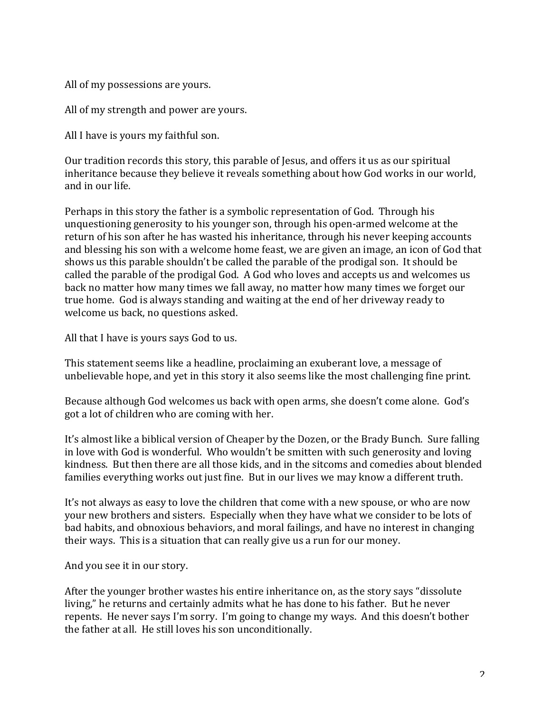All of my possessions are yours.

All of my strength and power are yours.

All I have is yours my faithful son.

Our tradition records this story, this parable of Jesus, and offers it us as our spiritual inheritance because they believe it reveals something about how God works in our world, and in our life

Perhaps in this story the father is a symbolic representation of God. Through his unquestioning generosity to his younger son, through his open-armed welcome at the return of his son after he has wasted his inheritance, through his never keeping accounts and blessing his son with a welcome home feast, we are given an image, an icon of God that shows us this parable shouldn't be called the parable of the prodigal son. It should be called the parable of the prodigal God. A God who loves and accepts us and welcomes us back no matter how many times we fall away, no matter how many times we forget our true home. God is always standing and waiting at the end of her driveway ready to welcome us back, no questions asked.

All that I have is yours says God to us.

This statement seems like a headline, proclaiming an exuberant love, a message of unbelievable hope, and yet in this story it also seems like the most challenging fine print.

Because although God welcomes us back with open arms, she doesn't come alone. God's got a lot of children who are coming with her.

It's almost like a biblical version of Cheaper by the Dozen, or the Brady Bunch. Sure falling in love with God is wonderful. Who wouldn't be smitten with such generosity and loving kindness. But then there are all those kids, and in the sitcoms and comedies about blended families everything works out just fine. But in our lives we may know a different truth.

It's not always as easy to love the children that come with a new spouse, or who are now your new brothers and sisters. Especially when they have what we consider to be lots of bad habits, and obnoxious behaviors, and moral failings, and have no interest in changing their ways. This is a situation that can really give us a run for our money.

And you see it in our story.

After the younger brother wastes his entire inheritance on, as the story says "dissolute" living," he returns and certainly admits what he has done to his father. But he never repents. He never says I'm sorry. I'm going to change my ways. And this doesn't bother the father at all. He still loves his son unconditionally.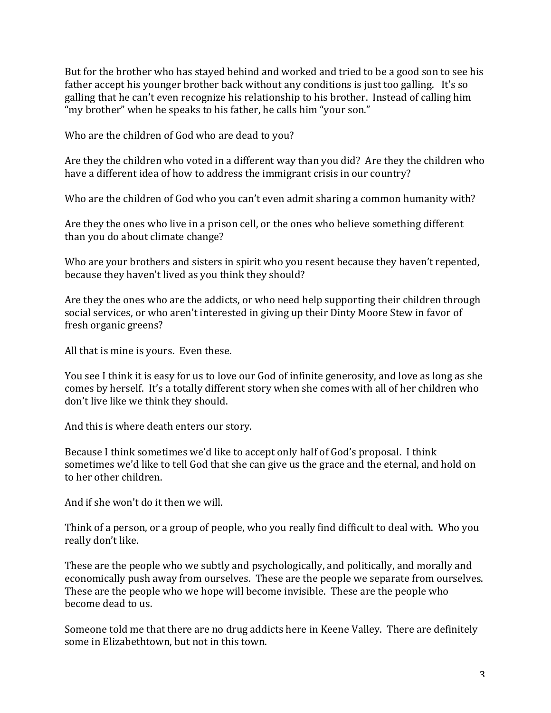But for the brother who has stayed behind and worked and tried to be a good son to see his father accept his younger brother back without any conditions is just too galling. It's so galling that he can't even recognize his relationship to his brother. Instead of calling him "my brother" when he speaks to his father, he calls him "your son."

Who are the children of God who are dead to you?

Are they the children who voted in a different way than you did? Are they the children who have a different idea of how to address the immigrant crisis in our country?

Who are the children of God who you can't even admit sharing a common humanity with?

Are they the ones who live in a prison cell, or the ones who believe something different than you do about climate change?

Who are your brothers and sisters in spirit who you resent because they haven't repented, because they haven't lived as you think they should?

Are they the ones who are the addicts, or who need help supporting their children through social services, or who aren't interested in giving up their Dinty Moore Stew in favor of fresh organic greens?

All that is mine is yours. Even these.

You see I think it is easy for us to love our God of infinite generosity, and love as long as she comes by herself. It's a totally different story when she comes with all of her children who don't live like we think they should.

And this is where death enters our story.

Because I think sometimes we'd like to accept only half of God's proposal. I think sometimes we'd like to tell God that she can give us the grace and the eternal, and hold on to her other children.

And if she won't do it then we will.

Think of a person, or a group of people, who you really find difficult to deal with. Who you really don't like.

These are the people who we subtly and psychologically, and politically, and morally and economically push away from ourselves. These are the people we separate from ourselves. These are the people who we hope will become invisible. These are the people who become dead to us.

Someone told me that there are no drug addicts here in Keene Valley. There are definitely some in Elizabethtown, but not in this town.